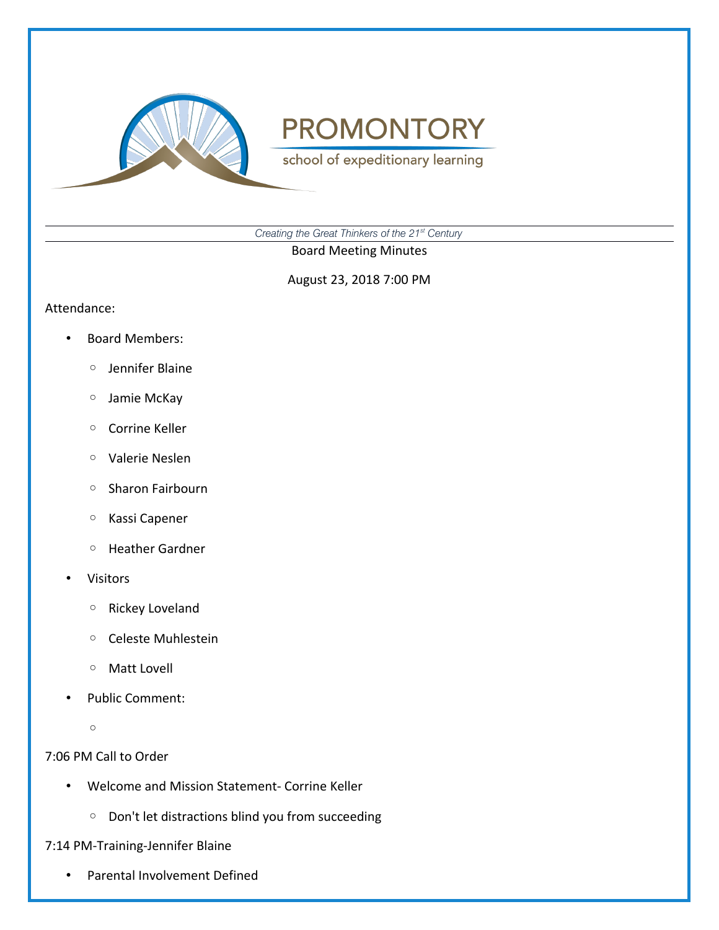

school of expeditionary learning

*Creating the Great Thinkers of the 21st Century*

Board Meeting Minutes

August 23, 2018 7:00 PM

#### Attendance:

- Board Members:
	- Jennifer Blaine
	- Jamie McKay
	- Corrine Keller
	- Valerie Neslen
	- Sharon Fairbourn
	- Kassi Capener
	- Heather Gardner
- **Visitors** 
	- Rickey Loveland
	- Celeste Muhlestein
	- Matt Lovell
- Public Comment:
	- $\circ$

7:06 PM Call to Order

- Welcome and Mission Statement- Corrine Keller
	- Don't let distractions blind you from succeeding

7:14 PM-Training-Jennifer Blaine

• Parental Involvement Defined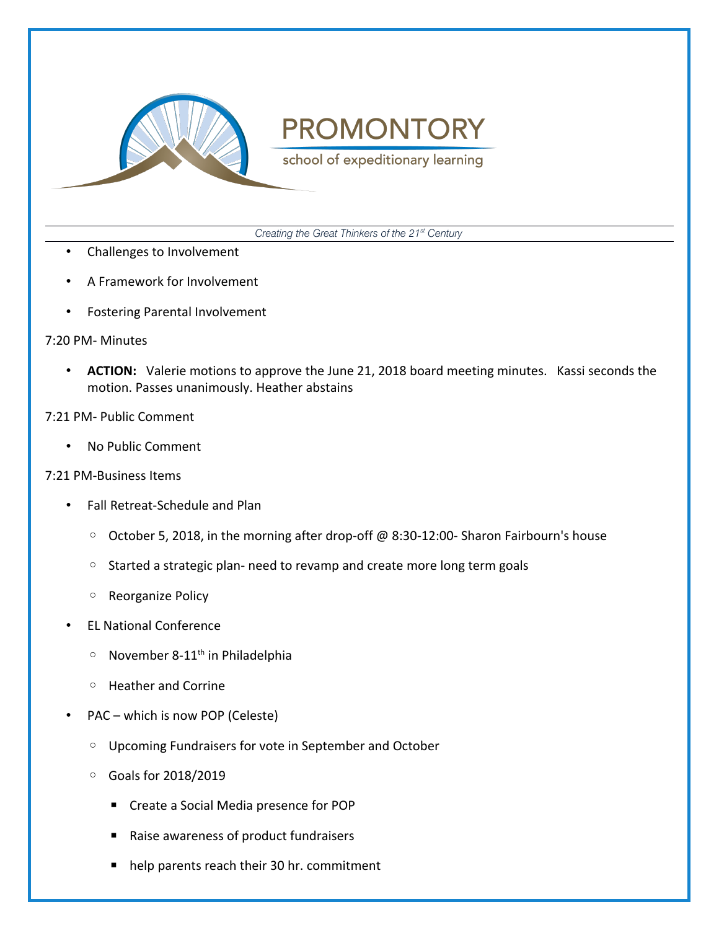

school of expeditionary learning

*Creating the Great Thinkers of the 21st Century*

- Challenges to Involvement
- A Framework for Involvement
- Fostering Parental Involvement

### 7:20 PM- Minutes

• **ACTION:** Valerie motions to approve the June 21, 2018 board meeting minutes. Kassi seconds the motion. Passes unanimously. Heather abstains

### 7:21 PM- Public Comment

• No Public Comment

### 7:21 PM-Business Items

- Fall Retreat-Schedule and Plan
	- October 5, 2018, in the morning after drop-off @ 8:30-12:00- Sharon Fairbourn's house
	- Started a strategic plan- need to revamp and create more long term goals
	- Reorganize Policy
- EL National Conference
	- $\circ$  November 8-11<sup>th</sup> in Philadelphia
	- Heather and Corrine
- PAC which is now POP (Celeste)
	- Upcoming Fundraisers for vote in September and October
	- Goals for 2018/2019
		- Create a Social Media presence for POP
		- Raise awareness of product fundraisers
		- help parents reach their 30 hr. commitment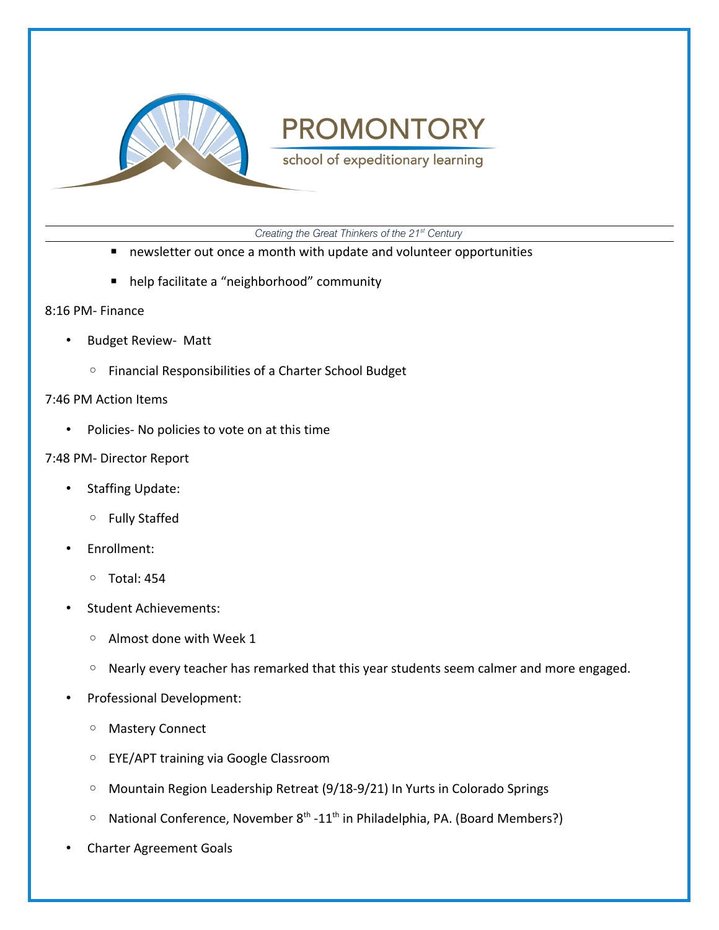

school of expeditionary learning

*Creating the Great Thinkers of the 21st Century*

- newsletter out once a month with update and volunteer opportunities
- help facilitate a "neighborhood" community

### 8:16 PM- Finance

- Budget Review- Matt
	- Financial Responsibilities of a Charter School Budget

### 7:46 PM Action Items

• Policies- No policies to vote on at this time

### 7:48 PM- Director Report

- Staffing Update:
	- Fully Staffed
- Enrollment:
	- Total: 454
- Student Achievements:
	- Almost done with Week 1
	- Nearly every teacher has remarked that this year students seem calmer and more engaged.
- Professional Development:
	- Mastery Connect
	- EYE/APT training via Google Classroom
	- Mountain Region Leadership Retreat (9/18-9/21) In Yurts in Colorado Springs
	- National Conference, November 8th -11th in Philadelphia, PA. (Board Members?)
- Charter Agreement Goals